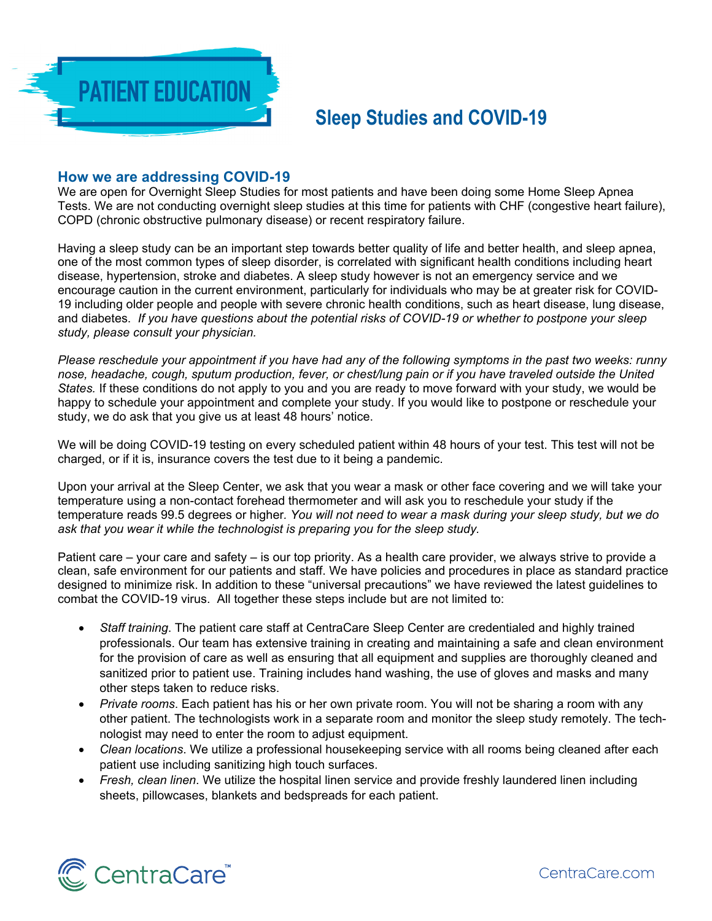

## **Sleep Studies and COVID-19**

## **How we are addressing COVID-19**

We are open for Overnight Sleep Studies for most patients and have been doing some Home Sleep Apnea Tests. We are not conducting overnight sleep studies at this time for patients with CHF (congestive heart failure), COPD (chronic obstructive pulmonary disease) or recent respiratory failure.

Having a sleep study can be an important step towards better quality of life and better health, and sleep apnea, one of the most common types of sleep disorder, is correlated with significant health conditions including heart disease, hypertension, stroke and diabetes. A sleep study however is not an emergency service and we encourage caution in the current environment, particularly for individuals who may be at greater risk for COVID-19 including older people and people with severe chronic health conditions, such as heart disease, lung disease, and diabetes. *If you have questions about the potential risks of COVID-19 or whether to postpone your sleep study, please consult your physician.* 

*Please reschedule your appointment if you have had any of the following symptoms in the past two weeks: runny nose, headache, cough, sputum production, fever, or chest/lung pain or if you have traveled outside the United States.* If these conditions do not apply to you and you are ready to move forward with your study, we would be happy to schedule your appointment and complete your study. If you would like to postpone or reschedule your study, we do ask that you give us at least 48 hours' notice.

We will be doing COVID-19 testing on every scheduled patient within 48 hours of your test. This test will not be charged, or if it is, insurance covers the test due to it being a pandemic.

Upon your arrival at the Sleep Center, we ask that you wear a mask or other face covering and we will take your temperature using a non-contact forehead thermometer and will ask you to reschedule your study if the temperature reads 99.5 degrees or higher*. You will not need to wear a mask during your sleep study, but we do ask that you wear it while the technologist is preparing you for the sleep study.* 

Patient care – your care and safety – is our top priority. As a health care provider, we always strive to provide a clean, safe environment for our patients and staff. We have policies and procedures in place as standard practice designed to minimize risk. In addition to these "universal precautions" we have reviewed the latest guidelines to combat the COVID-19 virus. All together these steps include but are not limited to:

- *Staff training*. The patient care staff at CentraCare Sleep Center are credentialed and highly trained professionals. Our team has extensive training in creating and maintaining a safe and clean environment for the provision of care as well as ensuring that all equipment and supplies are thoroughly cleaned and sanitized prior to patient use. Training includes hand washing, the use of gloves and masks and many other steps taken to reduce risks.
- *Private rooms*. Each patient has his or her own private room. You will not be sharing a room with any other patient. The technologists work in a separate room and monitor the sleep study remotely. The technologist may need to enter the room to adjust equipment.
- *Clean locations*. We utilize a professional housekeeping service with all rooms being cleaned after each patient use including sanitizing high touch surfaces.
- *Fresh, clean linen*. We utilize the hospital linen service and provide freshly laundered linen including sheets, pillowcases, blankets and bedspreads for each patient.